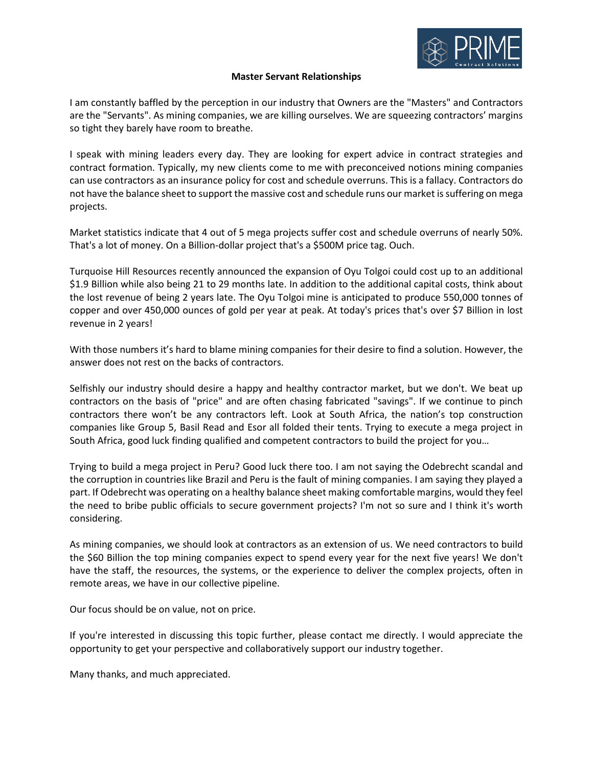

## **Master Servant Relationships**

I am constantly baffled by the perception in our industry that Owners are the "Masters" and Contractors are the "Servants". As mining companies, we are killing ourselves. We are squeezing contractors' margins so tight they barely have room to breathe.

I speak with mining leaders every day. They are looking for expert advice in contract strategies and contract formation. Typically, my new clients come to me with preconceived notions mining companies can use contractors as an insurance policy for cost and schedule overruns. This is a fallacy. Contractors do not have the balance sheet to support the massive cost and schedule runs our market is suffering on mega projects.

Market statistics indicate that 4 out of 5 mega projects suffer cost and schedule overruns of nearly 50%. That's a lot of money. On a Billion-dollar project that's a \$500M price tag. Ouch.

Turquoise Hill Resources recently announced the expansion of Oyu Tolgoi could cost up to an additional \$1.9 Billion while also being 21 to 29 months late. In addition to the additional capital costs, think about the lost revenue of being 2 years late. The Oyu Tolgoi mine is anticipated to produce 550,000 tonnes of copper and over 450,000 ounces of gold per year at peak. At today's prices that's over \$7 Billion in lost revenue in 2 years!

With those numbers it's hard to blame mining companies for their desire to find a solution. However, the answer does not rest on the backs of contractors.

Selfishly our industry should desire a happy and healthy contractor market, but we don't. We beat up contractors on the basis of "price" and are often chasing fabricated "savings". If we continue to pinch contractors there won't be any contractors left. Look at South Africa, the nation's top construction companies like Group 5, Basil Read and Esor all folded their tents. Trying to execute a mega project in South Africa, good luck finding qualified and competent contractors to build the project for you…

Trying to build a mega project in Peru? Good luck there too. I am not saying the Odebrecht scandal and the corruption in countries like Brazil and Peru is the fault of mining companies. I am saying they played a part. If Odebrecht was operating on a healthy balance sheet making comfortable margins, would they feel the need to bribe public officials to secure government projects? I'm not so sure and I think it's worth considering.

As mining companies, we should look at contractors as an extension of us. We need contractors to build the \$60 Billion the top mining companies expect to spend every year for the next five years! We don't have the staff, the resources, the systems, or the experience to deliver the complex projects, often in remote areas, we have in our collective pipeline.

Our focus should be on value, not on price.

If you're interested in discussing this topic further, please contact me directly. I would appreciate the opportunity to get your perspective and collaboratively support our industry together.

Many thanks, and much appreciated.